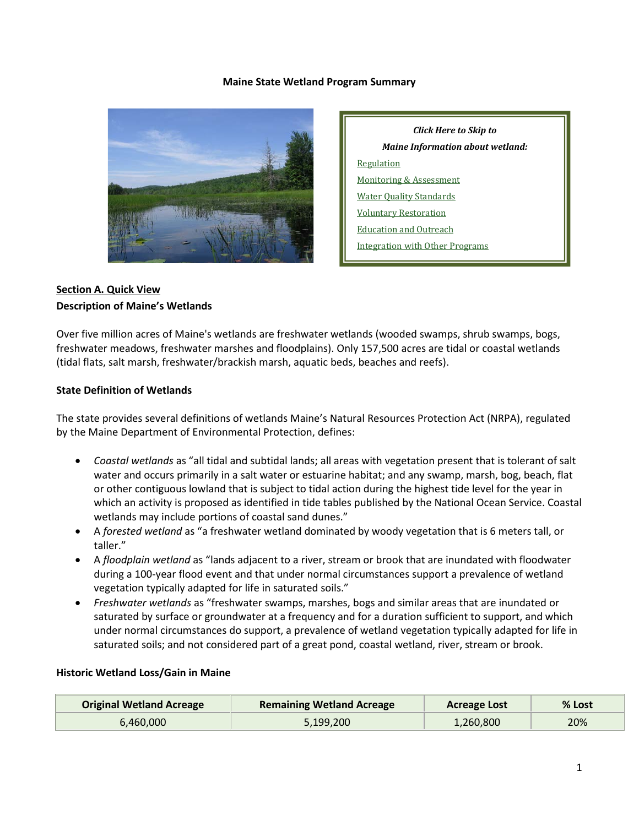#### **Maine State Wetland Program Summary**



*Click Here to Skip to Maine Information about wetland:* [Regulation](#page-2-0) [Monitoring & Assessment](#page-5-0) [Water Quality Standards](#page-7-0) [Voluntary Restoration](#page-8-0) [Education and Outreach](#page-9-0) [Integration with Other Programs](#page-9-1)

# **Section A. Quick View Description of Maine's Wetlands**

Over five million acres of Maine's wetlands are freshwater wetlands (wooded swamps, shrub swamps, bogs, freshwater meadows, freshwater marshes and floodplains). Only 157,500 acres are tidal or coastal wetlands (tidal flats, salt marsh, freshwater/brackish marsh, aquatic beds, beaches and reefs).

## **State Definition of Wetlands**

The state provides several definitions of wetlands Maine's Natural Resources Protection Act (NRPA), regulated by the Maine Department of Environmental Protection, defines:

- *Coastal wetlands* as "all tidal and subtidal lands; all areas with vegetation present that is tolerant of salt water and occurs primarily in a salt water or estuarine habitat; and any swamp, marsh, bog, beach, flat or other contiguous lowland that is subject to tidal action during the highest tide level for the year in which an activity is proposed as identified in tide tables published by the National Ocean Service. Coastal wetlands may include portions of coastal sand dunes."
- A *forested wetland* as "a freshwater wetland dominated by woody vegetation that is 6 meters tall, or taller."
- A *floodplain wetland* as "lands adjacent to a river, stream or brook that are inundated with floodwater during a 100-year flood event and that under normal circumstances support a prevalence of wetland vegetation typically adapted for life in saturated soils."
- *Freshwater wetlands* as "freshwater swamps, marshes, bogs and similar areas that are inundated or saturated by surface or groundwater at a frequency and for a duration sufficient to support, and which under normal circumstances do support, a prevalence of wetland vegetation typically adapted for life in saturated soils; and not considered part of a great pond, coastal wetland, river, stream or brook.

#### **Historic Wetland Loss/Gain in Maine**

| <b>Original Wetland Acreage</b> | <b>Remaining Wetland Acreage</b> | <b>Acreage Lost</b> | % Lost |
|---------------------------------|----------------------------------|---------------------|--------|
| 6,460,000                       | 5,199,200                        | 1,260,800           | 20%    |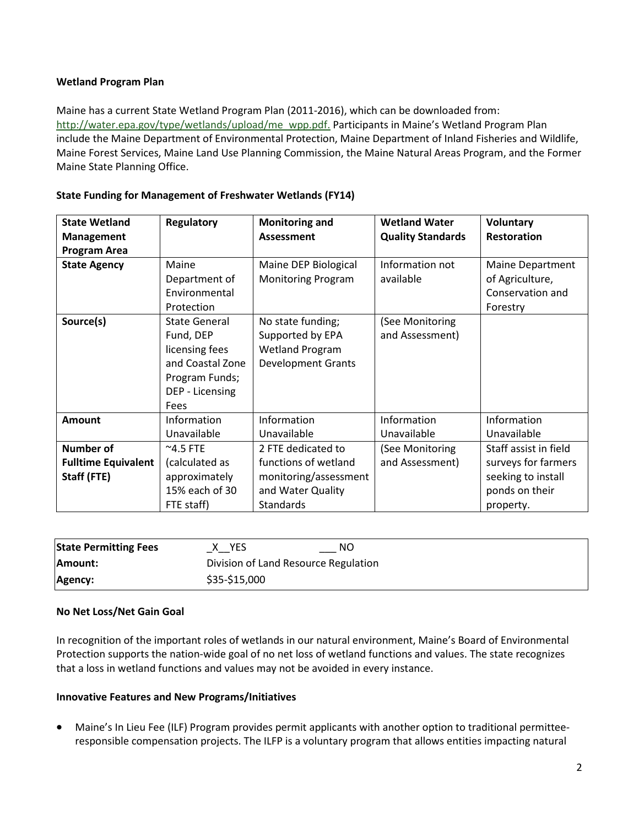## **Wetland Program Plan**

Maine has a current State Wetland Program Plan (2011-2016), which can be downloaded from: [http://water.epa.gov/type/wetlands/upload/me\\_wpp.pdf.](http://water.epa.gov/type/wetlands/upload/me_wpp.pdf) Participants in Maine's Wetland Program Plan include the Maine Department of Environmental Protection, Maine Department of Inland Fisheries and Wildlife, Maine Forest Services, Maine Land Use Planning Commission, the Maine Natural Areas Program, and the Former Maine State Planning Office.

| <b>State Funding for Management of Freshwater Wetlands (FY14)</b> |  |
|-------------------------------------------------------------------|--|
|                                                                   |  |

| <b>State Wetland</b>       | <b>Regulatory</b>    | <b>Monitoring and</b>     | <b>Wetland Water</b>     | Voluntary               |
|----------------------------|----------------------|---------------------------|--------------------------|-------------------------|
| <b>Management</b>          |                      | Assessment                | <b>Quality Standards</b> | <b>Restoration</b>      |
| <b>Program Area</b>        |                      |                           |                          |                         |
| <b>State Agency</b>        | Maine                | Maine DEP Biological      | Information not          | <b>Maine Department</b> |
|                            | Department of        | <b>Monitoring Program</b> | available                | of Agriculture,         |
|                            | Environmental        |                           |                          | Conservation and        |
|                            | Protection           |                           |                          | Forestry                |
| Source(s)                  | <b>State General</b> | No state funding;         | (See Monitoring          |                         |
|                            | Fund, DEP            | Supported by EPA          | and Assessment)          |                         |
|                            | licensing fees       | <b>Wetland Program</b>    |                          |                         |
|                            | and Coastal Zone     | <b>Development Grants</b> |                          |                         |
|                            | Program Funds;       |                           |                          |                         |
|                            | DEP - Licensing      |                           |                          |                         |
|                            | Fees                 |                           |                          |                         |
| <b>Amount</b>              | Information          | Information               | Information              | Information             |
|                            | Unavailable          | Unavailable               | Unavailable              | Unavailable             |
| <b>Number of</b>           | $^{\sim}$ 4.5 FTE    | 2 FTE dedicated to        | (See Monitoring          | Staff assist in field   |
| <b>Fulltime Equivalent</b> | (calculated as       | functions of wetland      | and Assessment)          | surveys for farmers     |
| Staff (FTE)                | approximately        | monitoring/assessment     |                          | seeking to install      |
|                            | 15% each of 30       | and Water Quality         |                          | ponds on their          |
|                            | FTE staff)           | <b>Standards</b>          |                          | property.               |

| <b>State Permitting Fees</b> | <b>YES</b>    | NO                                   |
|------------------------------|---------------|--------------------------------------|
| <b>Amount:</b>               |               | Division of Land Resource Regulation |
| Agency:                      | \$35-\$15,000 |                                      |

#### **No Net Loss/Net Gain Goal**

In recognition of the important roles of wetlands in our natural environment, Maine's Board of Environmental Protection supports the nation-wide goal of no net loss of wetland functions and values. The state recognizes that a loss in wetland functions and values may not be avoided in every instance.

#### **Innovative Features and New Programs/Initiatives**

• Maine's In Lieu Fee (ILF) Program provides permit applicants with another option to traditional permitteeresponsible compensation projects. The ILFP is a voluntary program that allows entities impacting natural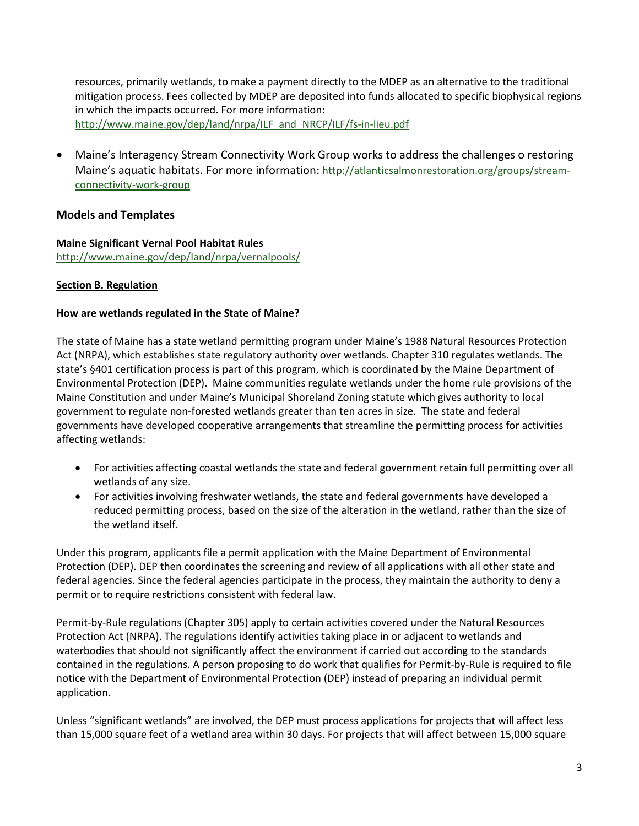resources, primarily wetlands, to make a payment directly to the MDEP as an alternative to the traditional mitigation process. Fees collected by MDEP are deposited into funds allocated to specific biophysical regions in which the impacts occurred. For more information: [http://www.maine.gov/dep/land/nrpa/ILF\\_and\\_NRCP/ILF/fs-in-lieu.pdf](http://www.maine.gov/dep/land/nrpa/ILF_and_NRCP/ILF/fs-in-lieu.pdf)

• Maine's Interagency Stream Connectivity Work Group works to address the challenges o restoring Maine's aquatic habitats. For more information: [http://atlanticsalmonrestoration.org/groups/stream](http://atlanticsalmonrestoration.org/groups/stream-connectivity-work-group)[connectivity-work-group](http://atlanticsalmonrestoration.org/groups/stream-connectivity-work-group) 

# **Models and Templates**

## **Maine Significant Vernal Pool Habitat Rules**

<http://www.maine.gov/dep/land/nrpa/vernalpools/>

## <span id="page-2-0"></span>**Section B. Regulation**

## **How are wetlands regulated in the State of Maine?**

The state of Maine has a state wetland permitting program under Maine's 1988 Natural Resources Protection Act (NRPA), which establishes state regulatory authority over wetlands. Chapter 310 regulates wetlands. The state's §401 certification process is part of this program, which is coordinated by the Maine Department of Environmental Protection (DEP). Maine communities regulate wetlands under the home rule provisions of the Maine Constitution and under Maine's Municipal Shoreland Zoning statute which gives authority to local government to regulate non-forested wetlands greater than ten acres in size. The state and federal governments have developed cooperative arrangements that streamline the permitting process for activities affecting wetlands:

- For activities affecting coastal wetlands the state and federal government retain full permitting over all wetlands of any size.
- For activities involving freshwater wetlands, the state and federal governments have developed a reduced permitting process, based on the size of the alteration in the wetland, rather than the size of the wetland itself.

Under this program, applicants file a permit application with the Maine Department of Environmental Protection (DEP). DEP then coordinates the screening and review of all applications with all other state and federal agencies. Since the federal agencies participate in the process, they maintain the authority to deny a permit or to require restrictions consistent with federal law.

Permit-by-Rule regulations (Chapter 305) apply to certain activities covered under the Natural Resources Protection Act (NRPA). The regulations identify activities taking place in or adjacent to wetlands and waterbodies that should not significantly affect the environment if carried out according to the standards contained in the regulations. A person proposing to do work that qualifies for Permit-by-Rule is required to file notice with the Department of Environmental Protection (DEP) instead of preparing an individual permit application.

Unless "significant wetlands" are involved, the DEP must process applications for projects that will affect less than 15,000 square feet of a wetland area within 30 days. For projects that will affect between 15,000 square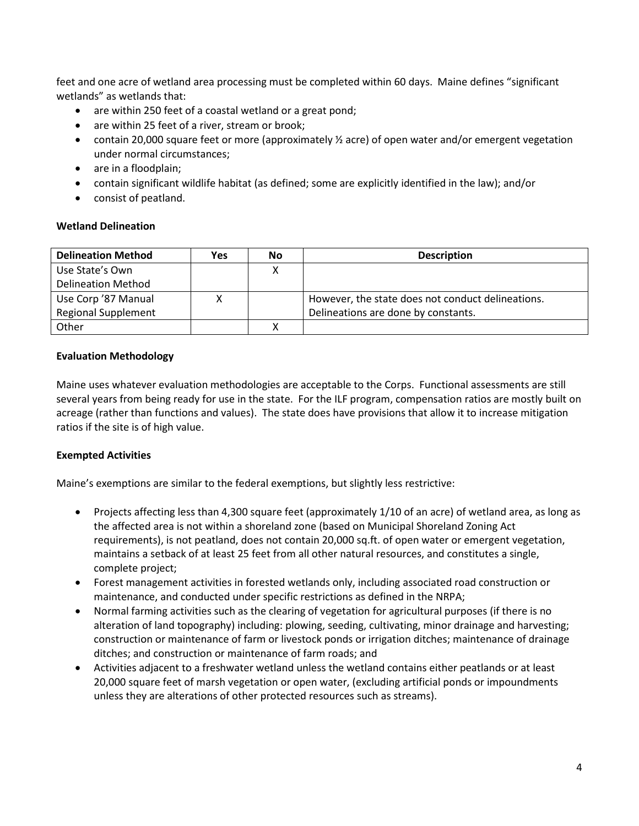feet and one acre of wetland area processing must be completed within 60 days. Maine defines "significant wetlands" as wetlands that:

- are within 250 feet of a coastal wetland or a great pond;
- are within 25 feet of a river, stream or brook;
- contain 20,000 square feet or more (approximately  $\frac{1}{2}$  acre) of open water and/or emergent vegetation under normal circumstances;
- are in a floodplain;
- contain significant wildlife habitat (as defined; some are explicitly identified in the law); and/or
- consist of peatland.

#### **Wetland Delineation**

| <b>Delineation Method</b>  | Yes | No | <b>Description</b>                                |
|----------------------------|-----|----|---------------------------------------------------|
| Use State's Own            |     | v  |                                                   |
| Delineation Method         |     |    |                                                   |
| Use Corp '87 Manual        |     |    | However, the state does not conduct delineations. |
| <b>Regional Supplement</b> |     |    | Delineations are done by constants.               |
| Other                      |     | v  |                                                   |

## **Evaluation Methodology**

Maine uses whatever evaluation methodologies are acceptable to the Corps. Functional assessments are still several years from being ready for use in the state. For the ILF program, compensation ratios are mostly built on acreage (rather than functions and values). The state does have provisions that allow it to increase mitigation ratios if the site is of high value.

#### **Exempted Activities**

Maine's exemptions are similar to the federal exemptions, but slightly less restrictive:

- Projects affecting less than 4,300 square feet (approximately 1/10 of an acre) of wetland area, as long as the affected area is not within a shoreland zone (based on Municipal Shoreland Zoning Act requirements), is not peatland, does not contain 20,000 sq.ft. of open water or emergent vegetation, maintains a setback of at least 25 feet from all other natural resources, and constitutes a single, complete project;
- Forest management activities in forested wetlands only, including associated road construction or maintenance, and conducted under specific restrictions as defined in the NRPA;
- Normal farming activities such as the clearing of vegetation for agricultural purposes (if there is no alteration of land topography) including: plowing, seeding, cultivating, minor drainage and harvesting; construction or maintenance of farm or livestock ponds or irrigation ditches; maintenance of drainage ditches; and construction or maintenance of farm roads; and
- Activities adjacent to a freshwater wetland unless the wetland contains either peatlands or at least 20,000 square feet of marsh vegetation or open water, (excluding artificial ponds or impoundments unless they are alterations of other protected resources such as streams).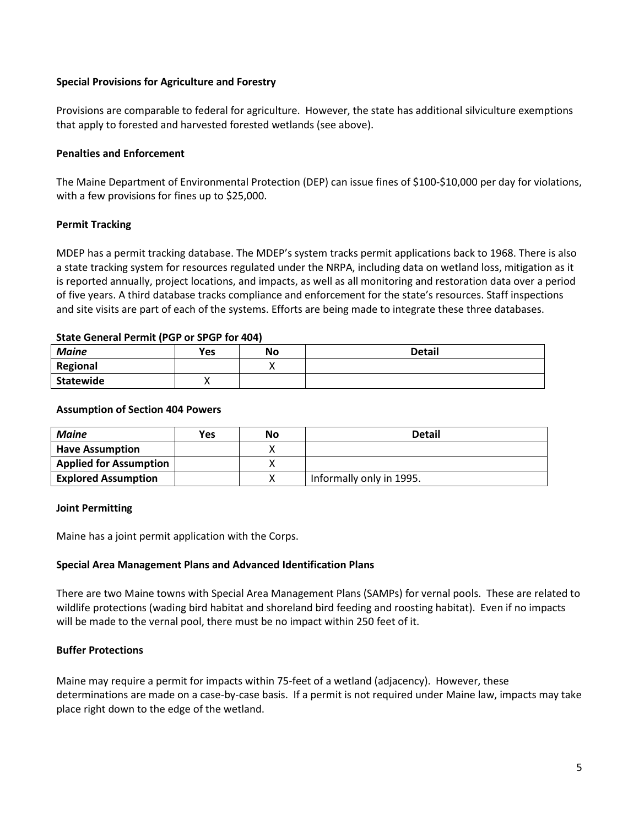## **Special Provisions for Agriculture and Forestry**

Provisions are comparable to federal for agriculture. However, the state has additional silviculture exemptions that apply to forested and harvested forested wetlands (see above).

## **Penalties and Enforcement**

The Maine Department of Environmental Protection (DEP) can issue fines of \$100-\$10,000 per day for violations, with a few provisions for fines up to \$25,000.

## **Permit Tracking**

MDEP has a permit tracking database. The MDEP's system tracks permit applications back to 1968. There is also a state tracking system for resources regulated under the NRPA, including data on wetland loss, mitigation as it is reported annually, project locations, and impacts, as well as all monitoring and restoration data over a period of five years. A third database tracks compliance and enforcement for the state's resources. Staff inspections and site visits are part of each of the systems. Efforts are being made to integrate these three databases.

#### **State General Permit (PGP or SPGP for 404)**

| <b>Maine</b>    | Yes | No | <b>Detail</b> |
|-----------------|-----|----|---------------|
| <b>Regional</b> |     |    |               |
| Statewide       | ,,  |    |               |

## **Assumption of Section 404 Powers**

| <b>Maine</b>                  | Yes | Νo | <b>Detail</b>            |
|-------------------------------|-----|----|--------------------------|
| <b>Have Assumption</b>        |     |    |                          |
| <b>Applied for Assumption</b> |     |    |                          |
| <b>Explored Assumption</b>    |     |    | Informally only in 1995. |

#### **Joint Permitting**

Maine has a joint permit application with the Corps.

## **Special Area Management Plans and Advanced Identification Plans**

There are two Maine towns with Special Area Management Plans (SAMPs) for vernal pools. These are related to wildlife protections (wading bird habitat and shoreland bird feeding and roosting habitat). Even if no impacts will be made to the vernal pool, there must be no impact within 250 feet of it.

#### **Buffer Protections**

Maine may require a permit for impacts within 75-feet of a wetland (adjacency). However, these determinations are made on a case-by-case basis. If a permit is not required under Maine law, impacts may take place right down to the edge of the wetland.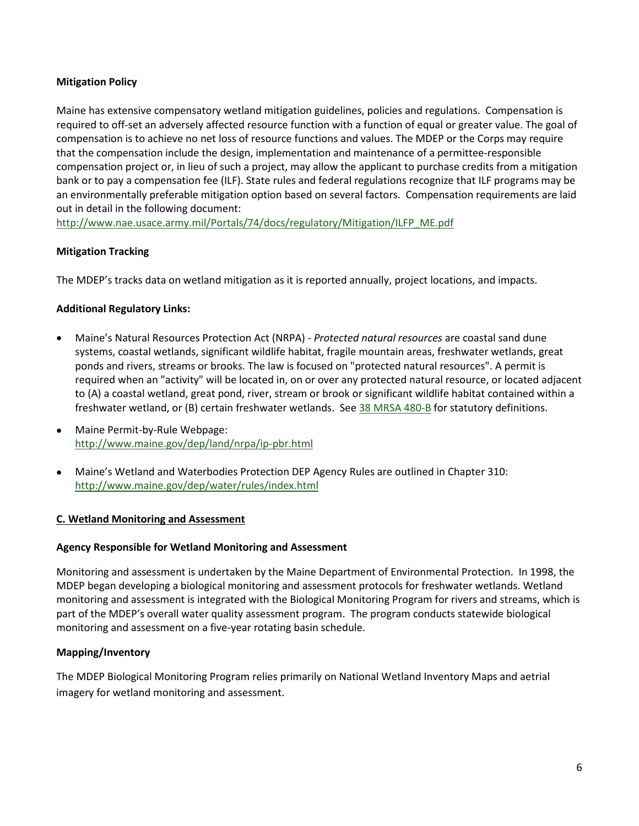## **Mitigation Policy**

Maine has extensive compensatory wetland mitigation guidelines, policies and regulations. Compensation is required to off-set an adversely affected resource function with a function of equal or greater value. The goal of compensation is to achieve no net loss of resource functions and values. The MDEP or the Corps may require that the compensation include the design, implementation and maintenance of a permittee-responsible compensation project or, in lieu of such a project, may allow the applicant to purchase credits from a mitigation bank or to pay a compensation fee (ILF). State rules and federal regulations recognize that ILF programs may be an environmentally preferable mitigation option based on several factors. Compensation requirements are laid out in detail in the following document:

[http://www.nae.usace.army.mil/Portals/74/docs/regulatory/Mitigation/ILFP\\_ME.pdf](http://www.nae.usace.army.mil/Portals/74/docs/regulatory/Mitigation/ILFP_ME.pdf)

## **Mitigation Tracking**

The MDEP's tracks data on wetland mitigation as it is reported annually, project locations, and impacts.

## **Additional Regulatory Links:**

- Maine's Natural Resources Protection Act (NRPA) *Protected natural resources* are coastal sand dune systems, coastal wetlands, significant wildlife habitat, fragile mountain areas, freshwater wetlands, great ponds and rivers, streams or brooks. The law is focused on "protected natural resources". A permit is required when an "activity" will be located in, on or over any protected natural resource, or located adjacent to (A) a coastal wetland, great pond, river, stream or brook or significant wildlife habitat contained within a freshwater wetland, or (B) certain freshwater wetlands. See [38 MRSA 480-B](http://www.mainelegislature.org/legis/statutes/38/title38sec480-B.html) for statutory definitions.
- Maine Permit-by-Rule Webpage: <http://www.maine.gov/dep/land/nrpa/ip-pbr.html>
- Maine's Wetland and Waterbodies Protection DEP Agency Rules are outlined in Chapter 310: <http://www.maine.gov/dep/water/rules/index.html>

#### <span id="page-5-0"></span>**C. Wetland Monitoring and Assessment**

#### **Agency Responsible for Wetland Monitoring and Assessment**

Monitoring and assessment is undertaken by the Maine Department of Environmental Protection. In 1998, the MDEP began developing a biological monitoring and assessment protocols for freshwater wetlands. Wetland monitoring and assessment is integrated with the Biological Monitoring Program for rivers and streams, which is part of the MDEP's overall water quality assessment program. The program conducts statewide biological monitoring and assessment on a five-year rotating basin schedule.

#### **Mapping/Inventory**

The MDEP Biological Monitoring Program relies primarily on National Wetland Inventory Maps and aetrial imagery for wetland monitoring and assessment.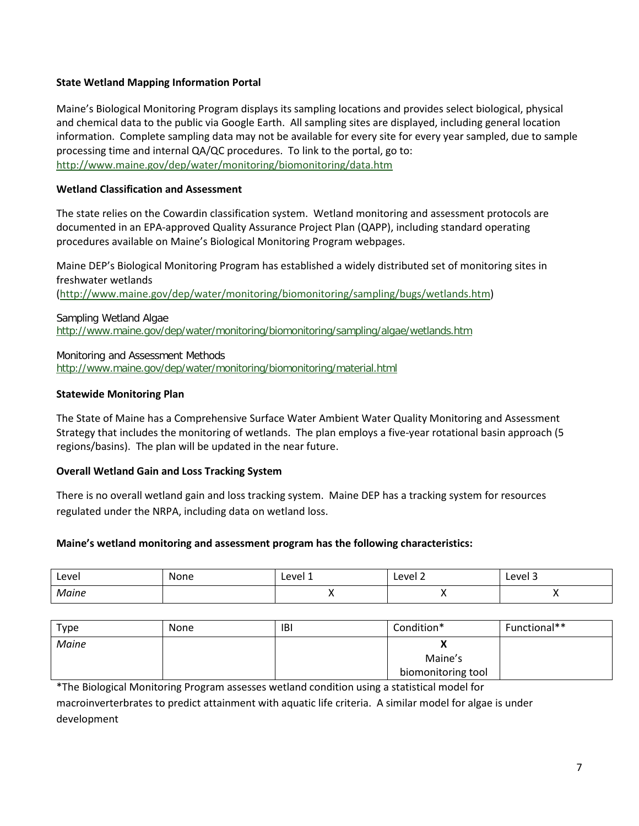## **State Wetland Mapping Information Portal**

Maine's Biological Monitoring Program displays its sampling locations and provides select biological, physical and chemical data to the public via Google Earth. All sampling sites are displayed, including general location information. Complete sampling data may not be available for every site for every year sampled, due to sample processing time and internal QA/QC procedures. To link to the portal, go to: <http://www.maine.gov/dep/water/monitoring/biomonitoring/data.htm>

## **Wetland Classification and Assessment**

The state relies on the Cowardin classification system. Wetland monitoring and assessment protocols are documented in an EPA-approved Quality Assurance Project Plan (QAPP), including standard operating procedures available on Maine's Biological Monitoring Program webpages.

Maine DEP's Biological Monitoring Program has established a widely distributed set of monitoring sites in freshwater wetlands

[\(http://www.maine.gov/dep/water/monitoring/biomonitoring/sampling/bugs/wetlands.htm\)](http://www.maine.gov/dep/water/monitoring/biomonitoring/sampling/bugs/wetlands.htm)

Sampling Wetland Algae <http://www.maine.gov/dep/water/monitoring/biomonitoring/sampling/algae/wetlands.htm>

Monitoring and Assessment Methods <http://www.maine.gov/dep/water/monitoring/biomonitoring/material.html>

#### **Statewide Monitoring Plan**

The State of Maine has a Comprehensive Surface Water Ambient Water Quality Monitoring and Assessment Strategy that includes the monitoring of wetlands. The plan employs a five-year rotational basin approach (5 regions/basins). The plan will be updated in the near future.

#### **Overall Wetland Gain and Loss Tracking System**

There is no overall wetland gain and loss tracking system. Maine DEP has a tracking system for resources regulated under the NRPA, including data on wetland loss.

#### **Maine's wetland monitoring and assessment program has the following characteristics:**

| Level | None | Level 1 | Level 2 | Level 3 |
|-------|------|---------|---------|---------|
| Maine |      |         | $\cdot$ |         |

| Type  | None | IBI | Condition*         | Functional** |
|-------|------|-----|--------------------|--------------|
| Maine |      |     | Λ                  |              |
|       |      |     | Maine's            |              |
|       |      |     | biomonitoring tool |              |

\*The Biological Monitoring Program assesses wetland condition using a statistical model for

macroinverterbrates to predict attainment with aquatic life criteria. A similar model for algae is under development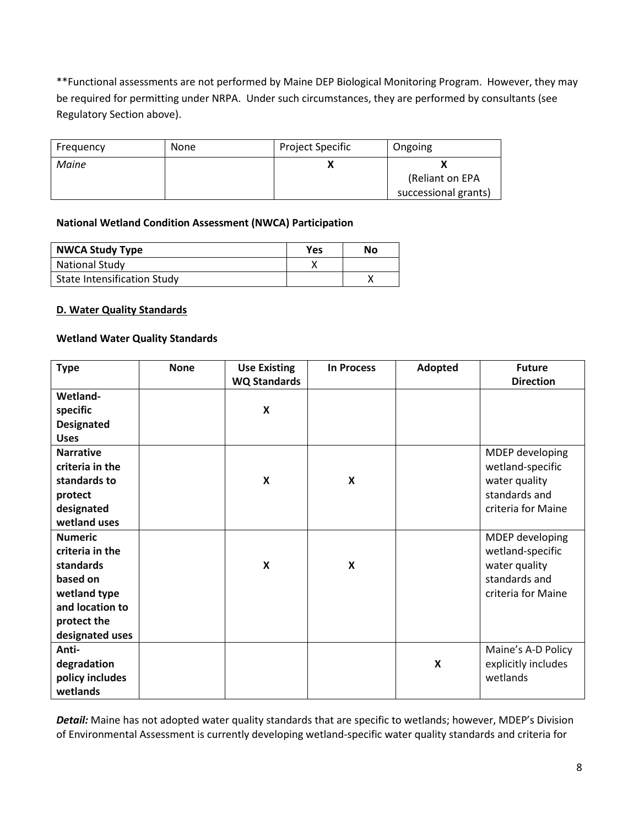\*\*Functional assessments are not performed by Maine DEP Biological Monitoring Program. However, they may be required for permitting under NRPA. Under such circumstances, they are performed by consultants (see Regulatory Section above).

| Freguency | None | <b>Project Specific</b> | Ongoing              |
|-----------|------|-------------------------|----------------------|
| Maine     |      |                         |                      |
|           |      |                         | (Reliant on EPA      |
|           |      |                         | successional grants) |

#### **National Wetland Condition Assessment (NWCA) Participation**

| <b>NWCA Study Type</b>             | Yes | No |
|------------------------------------|-----|----|
| <b>National Study</b>              |     |    |
| <b>State Intensification Study</b> |     |    |

#### <span id="page-7-0"></span>**D. Water Quality Standards**

## **Wetland Water Quality Standards**

| <b>Type</b>                                                                                                                     | <b>None</b> | <b>Use Existing</b><br><b>WQ Standards</b> | <b>In Process</b>         | <b>Adopted</b>            | <b>Future</b><br><b>Direction</b>                                                           |
|---------------------------------------------------------------------------------------------------------------------------------|-------------|--------------------------------------------|---------------------------|---------------------------|---------------------------------------------------------------------------------------------|
| Wetland-<br>specific<br><b>Designated</b><br><b>Uses</b>                                                                        |             | $\boldsymbol{\mathsf{x}}$                  |                           |                           |                                                                                             |
| <b>Narrative</b><br>criteria in the<br>standards to<br>protect<br>designated<br>wetland uses                                    |             | X                                          | $\boldsymbol{\mathsf{x}}$ |                           | MDEP developing<br>wetland-specific<br>water quality<br>standards and<br>criteria for Maine |
| <b>Numeric</b><br>criteria in the<br>standards<br>based on<br>wetland type<br>and location to<br>protect the<br>designated uses |             | X                                          | $\boldsymbol{\mathsf{x}}$ |                           | MDEP developing<br>wetland-specific<br>water quality<br>standards and<br>criteria for Maine |
| Anti-<br>degradation<br>policy includes<br>wetlands                                                                             |             |                                            |                           | $\boldsymbol{\mathsf{x}}$ | Maine's A-D Policy<br>explicitly includes<br>wetlands                                       |

*Detail:* Maine has not adopted water quality standards that are specific to wetlands; however, MDEP's Division of Environmental Assessment is currently developing wetland-specific water quality standards and criteria for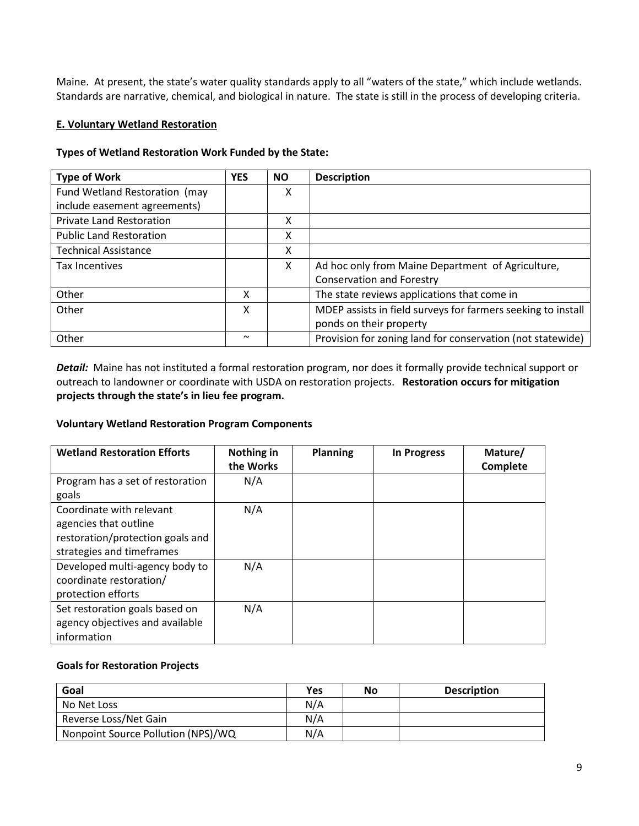Maine. At present, the state's water quality standards apply to all "waters of the state," which include wetlands. Standards are narrative, chemical, and biological in nature. The state is still in the process of developing criteria.

## <span id="page-8-0"></span>**E. Voluntary Wetland Restoration**

| <b>Type of Work</b>             | <b>YES</b>            | <b>NO</b> | <b>Description</b>                                           |
|---------------------------------|-----------------------|-----------|--------------------------------------------------------------|
| Fund Wetland Restoration (may   |                       | X         |                                                              |
| include easement agreements)    |                       |           |                                                              |
| <b>Private Land Restoration</b> |                       | X         |                                                              |
| <b>Public Land Restoration</b>  |                       | x         |                                                              |
| <b>Technical Assistance</b>     |                       | X         |                                                              |
| Tax Incentives                  |                       | X         | Ad hoc only from Maine Department of Agriculture,            |
|                                 |                       |           | <b>Conservation and Forestry</b>                             |
| Other                           | Χ                     |           | The state reviews applications that come in                  |
| Other                           | X                     |           | MDEP assists in field surveys for farmers seeking to install |
|                                 |                       |           | ponds on their property                                      |
| Other                           | $\tilde{\phantom{a}}$ |           | Provision for zoning land for conservation (not statewide)   |

#### **Types of Wetland Restoration Work Funded by the State:**

*Detail:*Maine has not instituted a formal restoration program, nor does it formally provide technical support or outreach to landowner or coordinate with USDA on restoration projects. **Restoration occurs for mitigation projects through the state's in lieu fee program.**

## **Voluntary Wetland Restoration Program Components**

| <b>Wetland Restoration Efforts</b>                                                                                 | Nothing in<br>the Works | <b>Planning</b> | In Progress | Mature/<br><b>Complete</b> |
|--------------------------------------------------------------------------------------------------------------------|-------------------------|-----------------|-------------|----------------------------|
| Program has a set of restoration<br>goals                                                                          | N/A                     |                 |             |                            |
| Coordinate with relevant<br>agencies that outline<br>restoration/protection goals and<br>strategies and timeframes | N/A                     |                 |             |                            |
| Developed multi-agency body to<br>coordinate restoration/<br>protection efforts                                    | N/A                     |                 |             |                            |
| Set restoration goals based on<br>agency objectives and available<br>information                                   | N/A                     |                 |             |                            |

## **Goals for Restoration Projects**

| Goal                               | Yes | No | <b>Description</b> |
|------------------------------------|-----|----|--------------------|
| No Net Loss                        | N/A |    |                    |
| Reverse Loss/Net Gain              | N/A |    |                    |
| Nonpoint Source Pollution (NPS)/WQ | N/A |    |                    |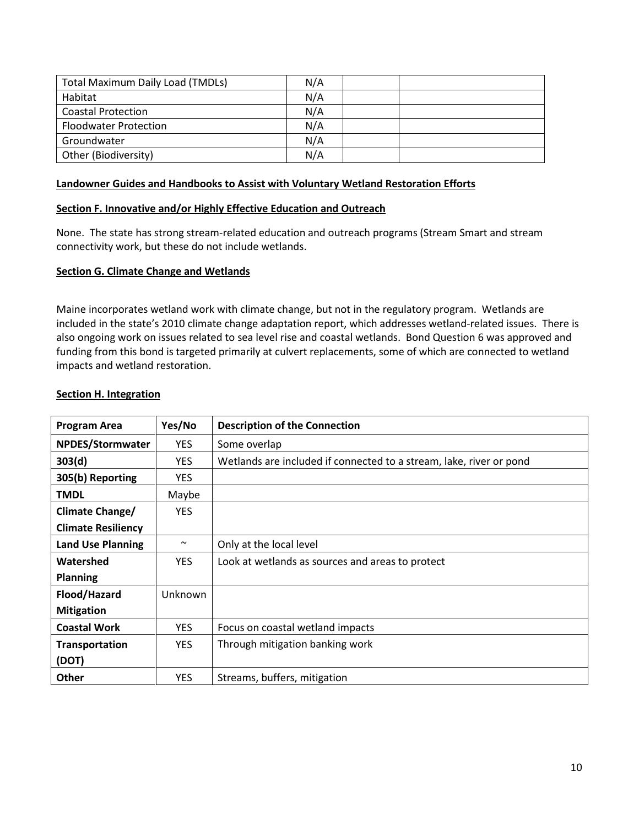| <b>Total Maximum Daily Load (TMDLs)</b> | N/A |  |
|-----------------------------------------|-----|--|
| Habitat                                 | N/A |  |
| <b>Coastal Protection</b>               | N/A |  |
| <b>Floodwater Protection</b>            | N/A |  |
| Groundwater                             | N/A |  |
| Other (Biodiversity)                    | N/A |  |

## **Landowner Guides and Handbooks to Assist with Voluntary Wetland Restoration Efforts**

#### <span id="page-9-0"></span>**Section F. Innovative and/or Highly Effective Education and Outreach**

None. The state has strong stream-related education and outreach programs (Stream Smart and stream connectivity work, but these do not include wetlands.

#### **Section G. Climate Change and Wetlands**

Maine incorporates wetland work with climate change, but not in the regulatory program. Wetlands are included in the state's 2010 climate change adaptation report, which addresses wetland-related issues. There is also ongoing work on issues related to sea level rise and coastal wetlands. Bond Question 6 was approved and funding from this bond is targeted primarily at culvert replacements, some of which are connected to wetland impacts and wetland restoration.

<span id="page-9-1"></span>

|  | <b>Section H. Integration</b> |
|--|-------------------------------|
|  |                               |

| <b>Program Area</b>       | Yes/No     | <b>Description of the Connection</b>                                |
|---------------------------|------------|---------------------------------------------------------------------|
| <b>NPDES/Stormwater</b>   | <b>YES</b> | Some overlap                                                        |
| 303(d)                    | <b>YES</b> | Wetlands are included if connected to a stream, lake, river or pond |
| 305(b) Reporting          | <b>YES</b> |                                                                     |
| <b>TMDL</b>               | Maybe      |                                                                     |
| Climate Change/           | <b>YES</b> |                                                                     |
| <b>Climate Resiliency</b> |            |                                                                     |
| <b>Land Use Planning</b>  | $\sim$     | Only at the local level                                             |
| Watershed                 | <b>YES</b> | Look at wetlands as sources and areas to protect                    |
| <b>Planning</b>           |            |                                                                     |
| Flood/Hazard              | Unknown    |                                                                     |
| <b>Mitigation</b>         |            |                                                                     |
| <b>Coastal Work</b>       | <b>YES</b> | Focus on coastal wetland impacts                                    |
| <b>Transportation</b>     | <b>YES</b> | Through mitigation banking work                                     |
| (DOT)                     |            |                                                                     |
| <b>Other</b>              | <b>YES</b> | Streams, buffers, mitigation                                        |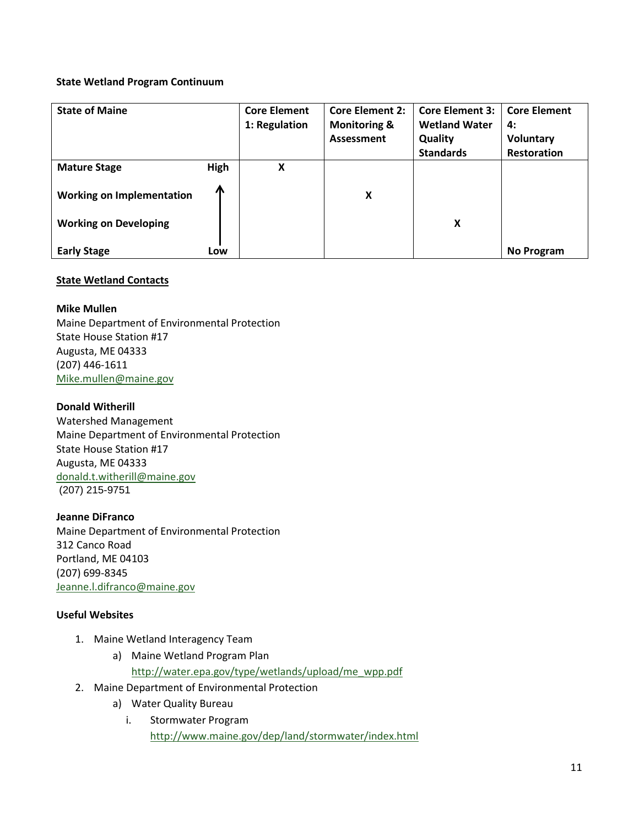## **State Wetland Program Continuum**

| <b>State of Maine</b>            |      | <b>Core Element</b><br>1: Regulation | <b>Core Element 2:</b><br><b>Monitoring &amp;</b><br><b>Assessment</b> | <b>Core Element 3:</b><br><b>Wetland Water</b><br>Quality<br><b>Standards</b> | <b>Core Element</b><br>4:<br><b>Voluntary</b><br><b>Restoration</b> |
|----------------------------------|------|--------------------------------------|------------------------------------------------------------------------|-------------------------------------------------------------------------------|---------------------------------------------------------------------|
| <b>Mature Stage</b>              | High | X                                    |                                                                        |                                                                               |                                                                     |
| <b>Working on Implementation</b> | ⋀    |                                      | x                                                                      |                                                                               |                                                                     |
| <b>Working on Developing</b>     |      |                                      |                                                                        | X                                                                             |                                                                     |
| <b>Early Stage</b>               | Low  |                                      |                                                                        |                                                                               | <b>No Program</b>                                                   |

## **State Wetland Contacts**

#### **Mike Mullen**

Maine Department of Environmental Protection State House Station #17 Augusta, ME 04333 (207) 446-1611 [Mike.mullen@maine.gov](mailto:Mike.mullen@maine.gov)

#### **Donald Witherill**

Watershed Management Maine Department of Environmental Protection State House Station #17 Augusta, ME 04333 [donald.t.witherill@maine.gov](mailto:donald.t.witherill@maine.gov) (207) 215-9751

#### **Jeanne DiFranco**

Maine Department of Environmental Protection 312 Canco Road Portland, ME 04103 (207) 699-8345 [Jeanne.l.difranco@maine.gov](mailto:Jeanne.l.difranco@maine.gov)

### **Useful Websites**

- 1. Maine Wetland Interagency Team
	- a) Maine Wetland Program Plan
		- [http://water.epa.gov/type/wetlands/upload/me\\_wpp.pdf](http://water.epa.gov/type/wetlands/upload/me_wpp.pdf)
- 2. Maine Department of Environmental Protection
	- a) Water Quality Bureau
		- i. Stormwater Program <http://www.maine.gov/dep/land/stormwater/index.html>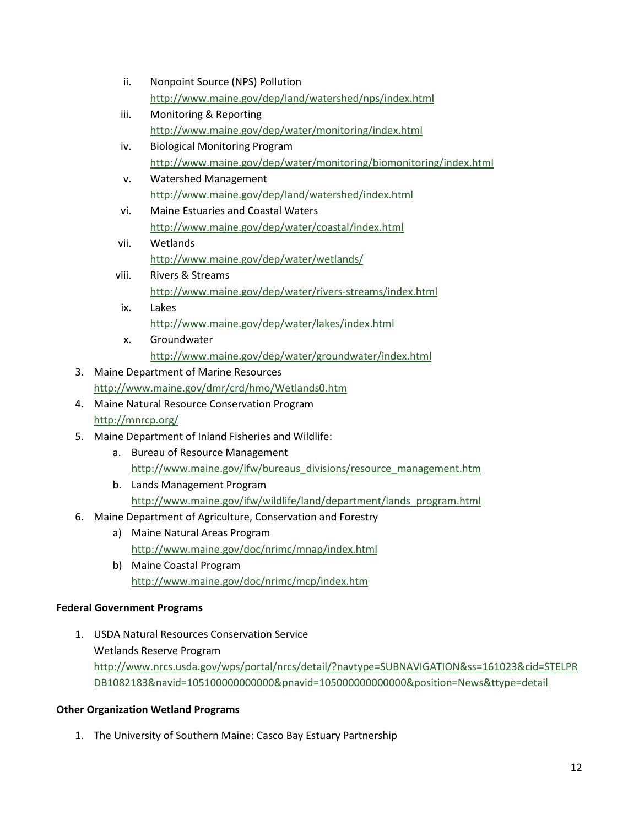- ii. Nonpoint Source (NPS) Pollution <http://www.maine.gov/dep/land/watershed/nps/index.html>
- iii. Monitoring & Reporting <http://www.maine.gov/dep/water/monitoring/index.html>
- iv. Biological Monitoring Program <http://www.maine.gov/dep/water/monitoring/biomonitoring/index.html>
- v. Watershed Management <http://www.maine.gov/dep/land/watershed/index.html>
- vi. Maine Estuaries and Coastal Waters <http://www.maine.gov/dep/water/coastal/index.html>
- vii. Wetlands <http://www.maine.gov/dep/water/wetlands/>
- viii. Rivers & Streams <http://www.maine.gov/dep/water/rivers-streams/index.html>
- ix. Lakes <http://www.maine.gov/dep/water/lakes/index.html>
- x. Groundwater <http://www.maine.gov/dep/water/groundwater/index.html>
- 3. Maine Department of Marine Resources <http://www.maine.gov/dmr/crd/hmo/Wetlands0.htm>
- 4. Maine Natural Resource Conservation Program <http://mnrcp.org/>
- 5. Maine Department of Inland Fisheries and Wildlife:
	- a. Bureau of Resource Management [http://www.maine.gov/ifw/bureaus\\_divisions/resource\\_management.htm](http://www.maine.gov/ifw/bureaus_divisions/resource_management.htm)
	- b. Lands Management Program [http://www.maine.gov/ifw/wildlife/land/department/lands\\_program.html](http://www.maine.gov/ifw/wildlife/land/department/lands_program.html)
- 6. Maine Department of Agriculture, Conservation and Forestry
	- a) Maine Natural Areas Program <http://www.maine.gov/doc/nrimc/mnap/index.html>
	- b) Maine Coastal Program <http://www.maine.gov/doc/nrimc/mcp/index.htm>

# **Federal Government Programs**

1. USDA Natural Resources Conservation Service Wetlands Reserve Program [http://www.nrcs.usda.gov/wps/portal/nrcs/detail/?navtype=SUBNAVIGATION&ss=161023&cid=STELPR](http://www.nrcs.usda.gov/wps/portal/nrcs/detail/?navtype=SUBNAVIGATION&ss=161023&cid=STELPRDB1082183&navid=105100000000000&pnavid=105000000000000&position=News&ttype=detail) [DB1082183&navid=105100000000000&pnavid=105000000000000&position=News&ttype=detail](http://www.nrcs.usda.gov/wps/portal/nrcs/detail/?navtype=SUBNAVIGATION&ss=161023&cid=STELPRDB1082183&navid=105100000000000&pnavid=105000000000000&position=News&ttype=detail)

# **Other Organization Wetland Programs**

1. The University of Southern Maine: Casco Bay Estuary Partnership